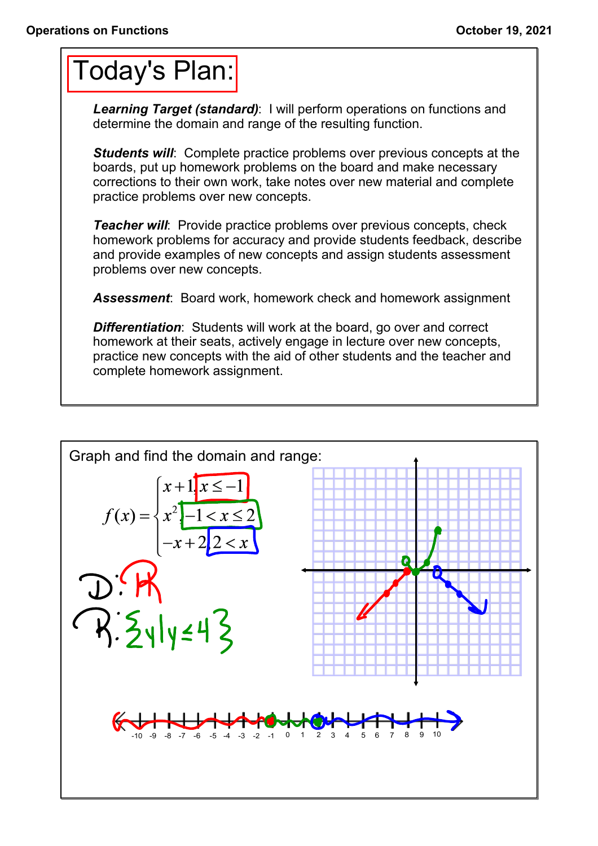## Today's Plan:

*Learning Target (standard)*: I will perform operations on functions and determine the domain and range of the resulting function.

**Students will:** Complete practice problems over previous concepts at the boards, put up homework problems on the board and make necessary corrections to their own work, take notes over new material and complete practice problems over new concepts.

*Teacher will:* Provide practice problems over previous concepts, check homework problems for accuracy and provide students feedback, describe and provide examples of new concepts and assign students assessment problems over new concepts.

*Assessment*: Board work, homework check and homework assignment

*Differentiation*: Students will work at the board, go over and correct homework at their seats, actively engage in lecture over new concepts, practice new concepts with the aid of other students and the teacher and complete homework assignment.

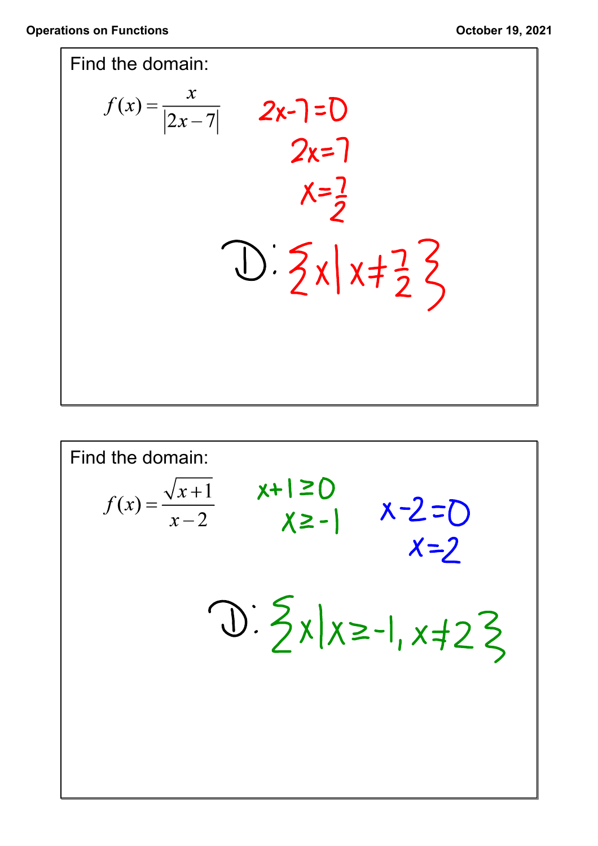

Find the domain:  
\n
$$
f(x) = \frac{\sqrt{x+1}}{x-2} \quad x+1 \ge 0
$$
\n
$$
\chi \ge -1 \quad x-2
$$
\n
$$
\frac{\sqrt{3}}{2} \times \frac{1}{2} \times \frac{1}{2} \times \frac{1}{2} \times \frac{1}{2}
$$
\n
$$
\frac{\sqrt{3}}{2} \times \frac{1}{2} \times \frac{1}{2} \times \frac{1}{2}
$$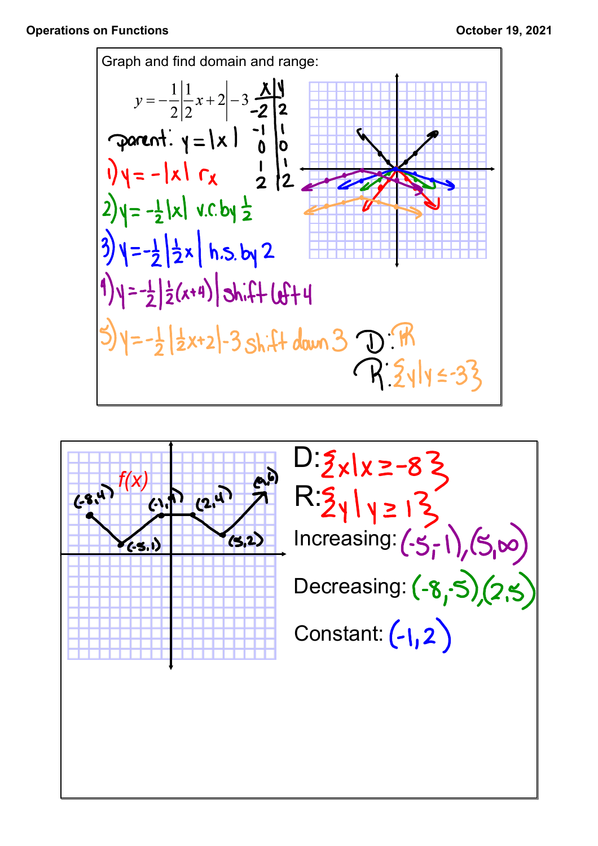

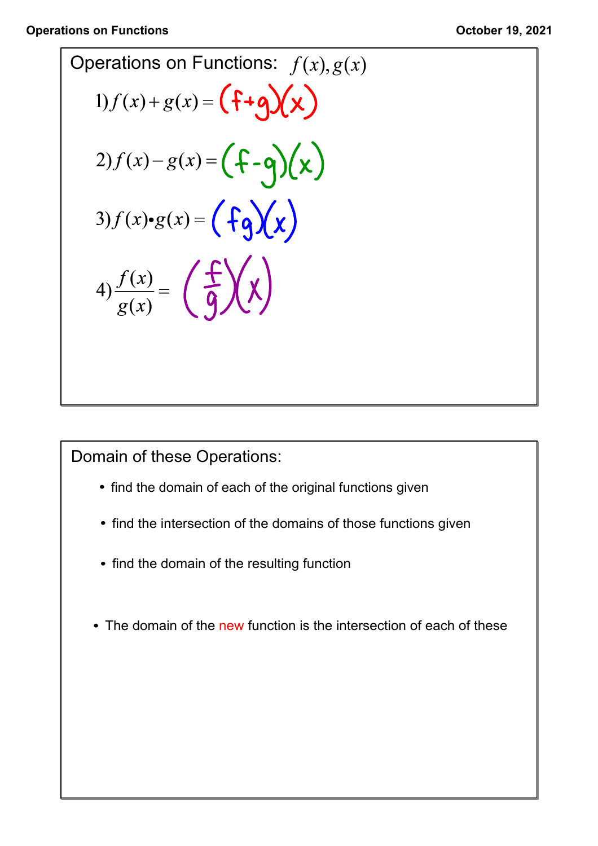Operations on Functions: 
$$
f(x), g(x)
$$
  
\n1)  $f(x) + g(x) = \left( \frac{f+g}{x} \right) \left( \frac{x}{x} \right)$   
\n2)  $f(x) - g(x) = \left( \frac{f-g}{x} \right) \left( \frac{x}{x} \right)$   
\n3)  $f(x) \cdot g(x) = \left( \frac{f}{g} \right) \left( \frac{x}{x} \right)$   
\n4)  $\frac{f(x)}{g(x)} = \left( \frac{f}{g} \right) \left( \frac{x}{x} \right)$ 

Domain of these Operations:

- find the domain of each of the original functions given
- find the intersection of the domains of those functions given
- find the domain of the resulting function
- The domain of the new function is the intersection of each of these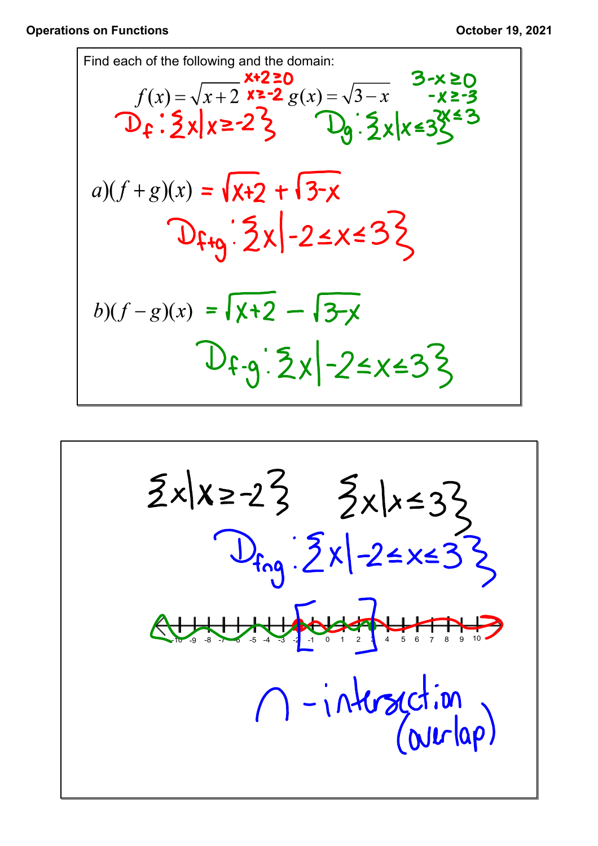## **Operations on Functions COLOREGISTS October 19, 2021**

Find each of the following and the domain:  
\n
$$
f(x) = \sqrt{x+2} \times 20
$$
\n
$$
f(x) = \sqrt{x+2} \times 20
$$
\n
$$
f(x) = \sqrt{x+2} \times 20
$$
\n
$$
f(x) = \sqrt{x+2} \times 20
$$
\n
$$
f(x) = 2 \times 20
$$
\n
$$
f(x) = \sqrt{x+2} \times 20
$$
\n
$$
f(x) = \sqrt{x+2} \times 20
$$
\n
$$
g(x) = 2x + 3
$$
\n
$$
g(x) = 2x + 3
$$
\n
$$
h(x) = 2x + 3
$$
\n
$$
h(x) = 2x + 3
$$
\n
$$
h(x) = 2x + 3
$$

$$
\frac{5x|x=23}{D_{f_{n9}}:5x|22133}
$$
\n
$$
\frac{5x}{241}+241
$$
\n
$$
\frac{1}{241}+141
$$
\n
$$
\frac{1}{241}+141
$$
\n
$$
\frac{1}{241}+141
$$
\n
$$
\frac{1}{241}+141
$$
\n
$$
\frac{1}{241}+141
$$
\n
$$
\frac{1}{241}+141
$$
\n
$$
\frac{1}{241}+141
$$
\n
$$
\frac{1}{241}+141
$$
\n
$$
\frac{1}{241}+141
$$
\n
$$
\frac{1}{241}+141
$$
\n
$$
\frac{1}{241}+141
$$
\n
$$
\frac{1}{241}+141
$$
\n
$$
\frac{1}{241}+141
$$
\n
$$
\frac{1}{241}+141
$$
\n
$$
\frac{1}{241}+141
$$
\n
$$
\frac{1}{241}+141
$$
\n
$$
\frac{1}{241}+141
$$
\n
$$
\frac{1}{241}+141
$$
\n
$$
\frac{1}{241}+141
$$
\n
$$
\frac{1}{241}+141
$$
\n
$$
\frac{1}{241}+141
$$
\n
$$
\frac{1}{241}+141
$$
\n
$$
\frac{1}{241}+141
$$
\n
$$
\frac{1}{241}+141
$$
\n
$$
\frac{1}{241}+141
$$
\n
$$
\frac{1}{241}+141
$$
\n
$$
\frac{1}{241}+141
$$
\n
$$
\frac{1}{241}+141
$$
\n
$$
\frac{1}{241}+141
$$
\n
$$
\frac{1}{241}+141
$$
\n
$$
\frac{1}{241}+141
$$
\n
$$
\frac{1}{241}+141
$$
\n $$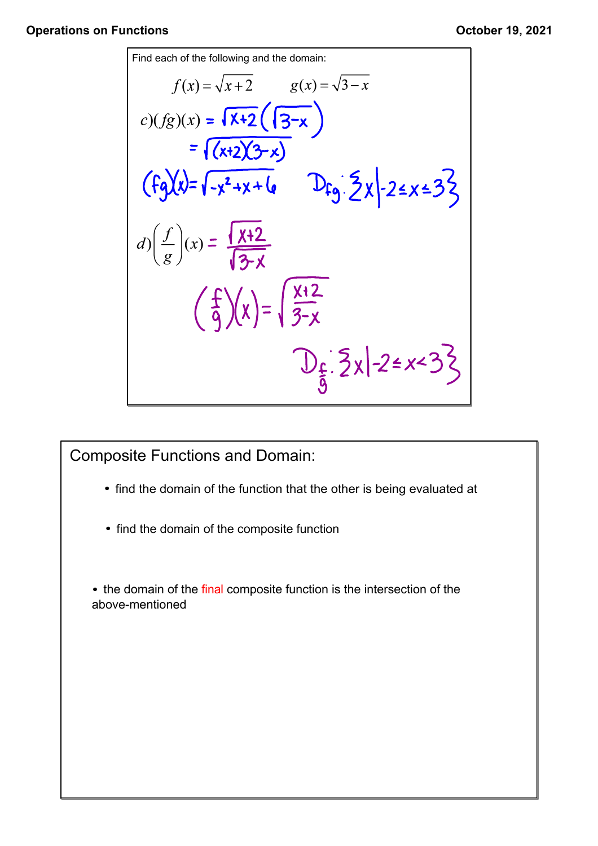## **Operations on Functions** *October 19, 2021*

r

Find each of the following and the domain:  
\n
$$
f(x) = \sqrt{x+2} \qquad g(x) = \sqrt{3-x}
$$
\n
$$
c)(fg)(x) = \sqrt{x+2} \cdot \sqrt{3-x}
$$
\n
$$
= \sqrt{x+2} \cdot \sqrt{3-x}
$$
\n
$$
\int (fg)(x) = \sqrt{x^2 + x + 6} \qquad \int (fg)(x) = \sqrt{x^2 + x + 6} \qquad \int (fg)(x) = \sqrt{x+2}
$$
\n
$$
d)(\frac{f}{g})(x) = \sqrt{\frac{x+2}{3-x}}
$$
\n
$$
\int \frac{f}{g} \cdot \sqrt{x} dx = \int \frac{1}{3-x} dx
$$
\n
$$
\int \frac{f}{g} \cdot \sqrt{x} dx = \int \frac{1}{3-x} dx
$$
\n
$$
\int \frac{1}{3-x} dx = \int \frac{1}{3-x} dx = \int \frac{1}{3-x} dx = \int \frac{1}{3-x} dx = \int \frac{1}{3-x} dx = \int \frac{1}{3-x} dx = \int \frac{1}{3-x} dx = \int \frac{1}{3-x} dx = \int \frac{1}{3-x} dx = \int \frac{1}{3-x} dx = \int \frac{1}{3-x} dx = \int \frac{1}{3-x} dx = \int \frac{1}{3-x} dx = \int \frac{1}{3-x} dx = \int \frac{1}{3-x} dx = \int \frac{1}{3-x} dx = \int \frac{1}{3-x} dx = \int \frac{1}{3-x} dx = \int \frac{1}{3-x} dx = \int \frac{1}{3-x} dx = \int \frac{1}{3-x} dx = \int \frac{1}{3-x} dx = \int \frac{1}{3-x} dx = \int \frac{1}{3-x} dx = \int \frac{1}{3-x} dx = \int \frac{1}{3-x} dx = \int \frac{1}{3-x} dx = \int \frac{1}{3-x} dx = \int \frac{1}{3-x} dx = \int \frac{1}{3-x} dx = \int \frac{1}{3-x} dx = \int \frac{1}{3-x} dx = \int \frac{1}{3-x} dx = \int \frac{1}{3-x} dx = \int \frac{1}{3-x} dx = \int \frac{1}{3-x} dx = \int \frac{1}{3-x} dx = \int \frac{1}{3-x} dx = \int \frac{1}{3-x} dx = \int \frac{1}{3-x} dx = \int \frac{1}{3-x}
$$

Composite Functions and Domain:

- find the domain of the function that the other is being evaluated at
- find the domain of the composite function

• the domain of the final composite function is the intersection of the above-mentioned